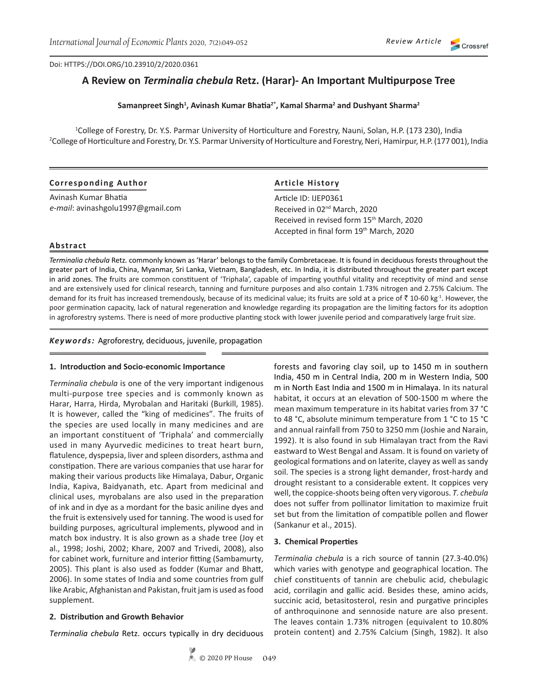#### Doi: HTTPS://DOI.ORG/10.23910/2/2020.0361

# **A Review on** *Terminalia chebula* **Retz. (Harar)- An Important Multipurpose Tree**

### **Samanpreet Singh1 , Avinash Kumar Bhatia2\*, Kamal Sharma<sup>2</sup> and Dushyant Sharma<sup>2</sup>**

1 College of Forestry, Dr. Y.S. Parmar University of Horticulture and Forestry, Nauni, Solan, H.P. (173 230), India 2 College of Horticulture and Forestry, Dr. Y.S. Parmar University of Horticulture and Forestry, Neri, Hamirpur, H.P. (177 001), India

| <b>Corresponding Author</b>       | <b>Article History</b>                                |
|-----------------------------------|-------------------------------------------------------|
| Avinash Kumar Bhatia              | Article ID: IJEP0361                                  |
| e-mail: avinashgolu1997@gmail.com | Received in 02 <sup>nd</sup> March, 2020              |
|                                   | Received in revised form 15 <sup>th</sup> March, 2020 |
|                                   | Accepted in final form 19th March, 2020               |

### **Abstract**

*Terminalia chebula* Retz*.* commonly known as 'Harar' belongs to the family Combretaceae. It is found in deciduous forests throughout the greater part of India, China, Myanmar, Sri Lanka, Vietnam, Bangladesh, etc. In India, it is distributed throughout the greater part except in arid zones. The fruits are common constituent of 'Triphala', capable of imparting youthful vitality and receptivity of mind and sense and are extensively used for clinical research, tanning and furniture purposes and also contain 1.73% nitrogen and 2.75% Calcium. The demand for its fruit has increased tremendously, because of its medicinal value; its fruits are sold at a price of  $\bar{\zeta}$  10-60 kg<sup>-1</sup>. However, the poor germination capacity, lack of natural regeneration and knowledge regarding its propagation are the limiting factors for its adoption in agroforestry systems. There is need of more productive planting stock with lower juvenile period and comparatively large fruit size.

*Keywords:* Agroforestry, deciduous, juvenile, propagation

#### **1. Introduction and Socio-economic Importance**

*Terminalia chebula* is one of the very important indigenous multi-purpose tree species and is commonly known as Harar, Harra, Hirda, Myrobalan and Haritaki (Burkill, 1985). It is however, called the "king of medicines". The fruits of the species are used locally in many medicines and are an important constituent of 'Triphala' and commercially used in many Ayurvedic medicines to treat heart burn, flatulence, dyspepsia, liver and spleen disorders, asthma and constipation. There are various companies that use harar for making their various products like Himalaya, Dabur, Organic India, Kapiva, Baidyanath, etc. Apart from medicinal and clinical uses, myrobalans are also used in the preparation of ink and in dye as a mordant for the basic aniline dyes and the fruit is extensively used for tanning. The wood is used for building purposes, agricultural implements, plywood and in match box industry. It is also grown as a shade tree (Joy et al., 1998; Joshi, 2002; Khare, 2007 and Trivedi, 2008), also for cabinet work, furniture and interior fitting (Sambamurty, 2005). This plant is also used as fodder (Kumar and Bhatt, 2006). In some states of India and some countries from gulf like Arabic, Afghanistan and Pakistan, fruit jam is used as food supplement.

# **2. Distribution and Growth Behavior**

*Terminalia chebula* Retz. occurs typically in dry deciduous

forests and favoring clay soil, up to 1450 m in southern India, 450 m in Central India, 200 m in Western India, 500 m in North East India and 1500 m in Himalaya. In its natural habitat, it occurs at an elevation of 500-1500 m where the mean maximum temperature in its habitat varies from 37 °C to 48 °C, absolute minimum temperature from 1 °C to 15 °C and annual rainfall from 750 to 3250 mm (Joshie and Narain, 1992). It is also found in sub Himalayan tract from the Ravi eastward to West Bengal and Assam. It is found on variety of geological formations and on laterite, clayey as well as sandy soil. The species is a strong light demander, frost-hardy and drought resistant to a considerable extent. It coppices very well, the coppice-shoots being often very vigorous. *T. chebula* does not suffer from pollinator limitation to maximize fruit set but from the limitation of compatible pollen and flower (Sankanur et al., 2015).

#### **3. Chemical Properties**

*Terminalia chebula* is a rich source of tannin (27.3-40.0%) which varies with genotype and geographical location. The chief constituents of tannin are chebulic acid, chebulagic acid, corrilagin and gallic acid. Besides these, amino acids, succinic acid, betasitosterol, resin and purgative principles of anthroquinone and sennoside nature are also present. The leaves contain 1.73% nitrogen (equivalent to 10.80% protein content) and 2.75% Calcium (Singh, 1982). It also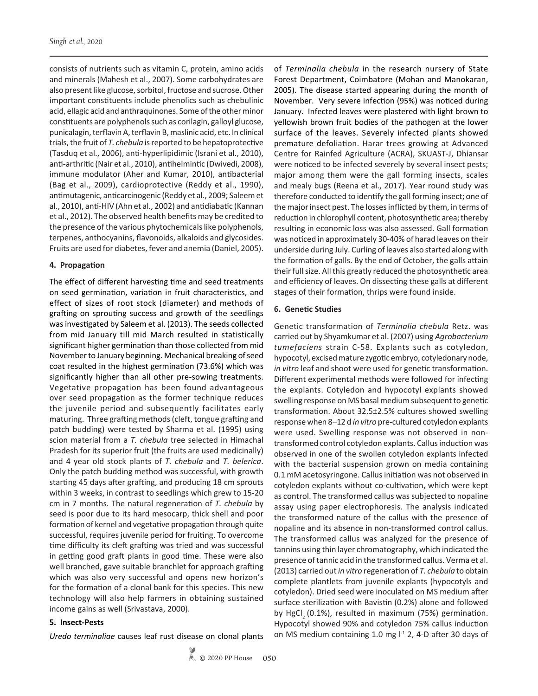consists of nutrients such as vitamin C, protein, amino acids and minerals (Mahesh et al., 2007). Some carbohydrates are also present like glucose, sorbitol, fructose and sucrose. Other important constituents include phenolics such as chebulinic acid, ellagic acid and anthraquinones. Some of the other minor constituents are polyphenols such as corilagin, galloyl glucose, punicalagin, terflavin A, terflavin B, maslinic acid, etc. In clinical trials, the fruit of *T. chebula* is reported to be hepatoprotective (Tasduq et al., 2006), anti-hyperlipidimic (Israni et al., 2010), anti-arthritic (Nair et al., 2010), antihelmintic (Dwivedi, 2008), immune modulator (Aher and Kumar, 2010), antibacterial (Bag et al., 2009), cardioprotective (Reddy et al., 1990), antimutagenic, anticarcinogenic (Reddy et al., 2009; Saleem et al., 2010), anti-HIV (Ahn et al., 2002) and antidiabatic (Kannan et al., 2012). The observed health benefits may be credited to the presence of the various phytochemicals like polyphenols, terpenes, anthocyanins, flavonoids, alkaloids and glycosides. Fruits are used for diabetes, fever and anemia (Daniel, 2005).

#### **4. Propagation**

The effect of different harvesting time and seed treatments on seed germination, variation in fruit characteristics, and effect of sizes of root stock (diameter) and methods of grafting on sprouting success and growth of the seedlings was investigated by Saleem et al. (2013). The seeds collected from mid January till mid March resulted in statistically significant higher germination than those collected from mid November to January beginning. Mechanical breaking of seed coat resulted in the highest germination (73.6%) which was significantly higher than all other pre-sowing treatments. Vegetative propagation has been found advantageous over seed propagation as the former technique reduces the juvenile period and subsequently facilitates early maturing. Three grafting methods (cleft, tongue grafting and patch budding) were tested by Sharma et al. (1995) using scion material from a *T. chebula* tree selected in Himachal Pradesh for its superior fruit (the fruits are used medicinally) and 4 year old stock plants of *T. chebula* and *T. belerica*. Only the patch budding method was successful, with growth starting 45 days after grafting, and producing 18 cm sprouts within 3 weeks, in contrast to seedlings which grew to 15-20 cm in 7 months. The natural regeneration of *T. chebula* by seed is poor due to its hard mesocarp, thick shell and poor formation of kernel and vegetative propagation through quite successful, requires juvenile period for fruiting. To overcome time difficulty its cleft grafting was tried and was successful in getting good graft plants in good time. These were also well branched, gave suitable branchlet for approach grafting which was also very successful and opens new horizon's for the formation of a clonal bank for this species. This new technology will also help farmers in obtaining sustained income gains as well (Srivastava, 2000).

# **5. Insect-Pests**

*Uredo terminaliae* causes leaf rust disease on clonal plants

© 2020 PP House **050**

of *Terminalia chebula* in the research nursery of State Forest Department, Coimbatore (Mohan and Manokaran, 2005). The disease started appearing during the month of November. Very severe infection (95%) was noticed during January. Infected leaves were plastered with light brown to yellowish brown fruit bodies of the pathogen at the lower surface of the leaves. Severely infected plants showed premature defoliation. Harar trees growing at Advanced Centre for Rainfed Agriculture (ACRA), SKUAST-J, Dhiansar were noticed to be infected severely by several insect pests; major among them were the gall forming insects, scales and mealy bugs (Reena et al., 2017). Year round study was therefore conducted to identify the gall forming insect; one of the major insect pest. The losses inflicted by them, in terms of reduction in chlorophyll content, photosynthetic area; thereby resulting in economic loss was also assessed. Gall formation was noticed in approximately 30-40% of harad leaves on their underside during July. Curling of leaves also started along with the formation of galls. By the end of October, the galls attain their full size. All this greatly reduced the photosynthetic area and efficiency of leaves. On dissecting these galls at different stages of their formation, thrips were found inside.

#### **6. Genetic Studies**

Genetic transformation of *Terminalia chebula* Retz. was carried out by Shyamkumar et al. (2007) using *Agrobacterium tumefaciens* strain C-58. Explants such as cotyledon, hypocotyl, excised mature zygotic embryo, cotyledonary node, *in vitro* leaf and shoot were used for genetic transformation. Different experimental methods were followed for infecting the explants. Cotyledon and hypocotyl explants showed swelling response on MS basal medium subsequent to genetic transformation. About 32.5±2.5% cultures showed swelling response when 8–12 d *in vitro* pre-cultured cotyledon explants were used. Swelling response was not observed in nontransformed control cotyledon explants. Callus induction was observed in one of the swollen cotyledon explants infected with the bacterial suspension grown on media containing 0.1 mM acetosyringone. Callus initiation was not observed in cotyledon explants without co-cultivation, which were kept as control. The transformed callus was subjected to nopaline assay using paper electrophoresis. The analysis indicated the transformed nature of the callus with the presence of nopaline and its absence in non-transformed control callus. The transformed callus was analyzed for the presence of tannins using thin layer chromatography, which indicated the presence of tannic acid in the transformed callus. Verma et al. (2013) carried out *in vitro* regeneration of *T. chebula* to obtain complete plantlets from juvenile explants (hypocotyls and cotyledon). Dried seed were inoculated on MS medium after surface sterilization with Bavistin (0.2%) alone and followed by HgCl<sub>2</sub> (0.1%), resulted in maximum (75%) germination. Hypocotyl showed 90% and cotyledon 75% callus induction on MS medium containing 1.0 mg  $1<sup>1</sup>$  2, 4-D after 30 days of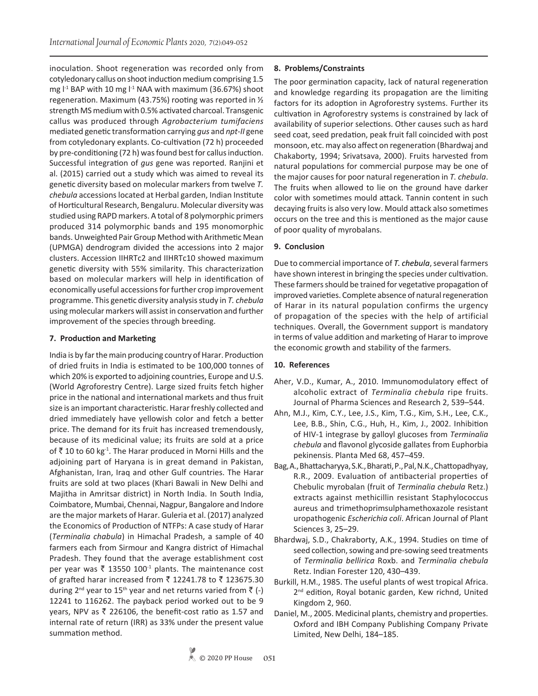inoculation. Shoot regeneration was recorded only from cotyledonary callus on shoot induction medium comprising 1.5 mg  $l<sup>-1</sup>$  BAP with 10 mg  $l<sup>-1</sup>$  NAA with maximum (36.67%) shoot regeneration. Maximum (43.75%) rooting was reported in ½ strength MS medium with 0.5% activated charcoal. Transgenic callus was produced through *Agrobacterium tumifaciens*  mediated genetic transformation carrying *gus* and *npt-II* gene from cotyledonary explants. Co-cultivation (72 h) proceeded by pre-conditioning (72 h) was found best for callus induction. Successful integration of *gus* gene was reported. Ranjini et al. (2015) carried out a study which was aimed to reveal its genetic diversity based on molecular markers from twelve *T. chebula* accessionslocated at Herbal garden, Indian Institute of Horticultural Research, Bengaluru. Molecular diversity was studied using RAPD markers. A total of 8 polymorphic primers produced 314 polymorphic bands and 195 monomorphic bands. Unweighted Pair Group Method with Arithmetic Mean (UPMGA) dendrogram divided the accessions into 2 major clusters. Accession IIHRTc2 and IIHRTc10 showed maximum genetic diversity with 55% similarity. This characterization based on molecular markers will help in identification of economically useful accessions for further crop improvement programme. This genetic diversity analysis study in *T. chebula*  using molecular markers will assist in conservation and further improvement of the species through breeding.

# **7. Production and Marketing**

India is by far the main producing country of Harar. Production of dried fruits in India is estimated to be 100,000 tonnes of which 20% is exported to adjoining countries, Europe and U.S. (World Agroforestry Centre). Large sized fruits fetch higher price in the national and international markets and thus fruit size is an important characteristic. Harar freshly collected and dried immediately have yellowish color and fetch a better price. The demand for its fruit has increased tremendously, because of its medicinal value; its fruits are sold at a price of  $\bar{X}$  10 to 60 kg<sup>-1</sup>. The Harar produced in Morni Hills and the adjoining part of Haryana is in great demand in Pakistan, Afghanistan, Iran, Iraq and other Gulf countries. The Harar fruits are sold at two places (Khari Bawali in New Delhi and Majitha in Amritsar district) in North India. In South India, Coimbatore, Mumbai, Chennai, Nagpur, Bangalore and Indore are the major markets of Harar. Guleria et al. (2017) analyzed the Economics of Production of NTFPs: A case study of Harar (*Terminalia chabula*) in Himachal Pradesh, a sample of 40 farmers each from Sirmour and Kangra district of Himachal Pradesh. They found that the average establishment cost per year was  $\bar{\tau}$  13550 100<sup>-1</sup> plants. The maintenance cost of grafted harar increased from  $\bar{\tau}$  12241.78 to  $\bar{\tau}$  123675.30 during 2<sup>nd</sup> year to 15<sup>th</sup> year and net returns varied from  $\bar{z}$  (-) 12241 to 116262. The payback period worked out to be 9 years, NPV as  $\bar{\tau}$  226106, the benefit-cost ratio as 1.57 and internal rate of return (IRR) as 33% under the present value summation method.

# **8. Problems/Constraints**

The poor germination capacity, lack of natural regeneration and knowledge regarding its propagation are the limiting factors for its adoption in Agroforestry systems. Further its cultivation in Agroforestry systems is constrained by lack of availability of superior selections. Other causes such as hard seed coat, seed predation, peak fruit fall coincided with post monsoon, etc. may also affect on regeneration (Bhardwaj and Chakaborty, 1994; Srivatsava, 2000). Fruits harvested from natural populations for commercial purpose may be one of the major causes for poor natural regeneration in *T. chebula*. The fruits when allowed to lie on the ground have darker color with sometimes mould attack. Tannin content in such decaying fruits is also very low. Mould attack also sometimes occurs on the tree and this is mentioned as the major cause of poor quality of myrobalans.

# **9. Conclusion**

Due to commercial importance of *T. chebula*, several farmers have shown interest in bringing the species under cultivation. These farmers should be trained for vegetative propagation of improved varieties. Complete absence of natural regeneration of Harar in its natural population confirms the urgency of propagation of the species with the help of artificial techniques. Overall, the Government support is mandatory in terms of value addition and marketing of Harar to improve the economic growth and stability of the farmers.

# **10. References**

- Aher, V.D., Kumar, A., 2010. Immunomodulatory effect of alcoholic extract of *Terminalia chebula* ripe fruits. Journal of Pharma Sciences and Research 2, 539–544.
- Ahn, M.J., Kim, C.Y., Lee, J.S., Kim, T.G., Kim, S.H., Lee, C.K., Lee, B.B., Shin, C.G., Huh, H., Kim, J., 2002. Inhibition of HIV-1 integrase by galloyl glucoses from *Terminalia chebula* and flavonol glycoside gallates from Euphorbia pekinensis. Planta Med 68, 457–459.
- Bag, A., Bhattacharyya, S.K., Bharati, P., Pal, N.K., Chattopadhyay, R.R., 2009. Evaluation of antibacterial properties of Chebulic myrobalan (fruit of *Terminalia chebula* Retz.) extracts against methicillin resistant Staphylococcus aureus and trimethoprimsulphamethoxazole resistant uropathogenic *Escherichia coli*. African Journal of Plant Sciences 3, 25–29.
- Bhardwaj, S.D., Chakraborty, A.K., 1994. Studies on time of seed collection, sowing and pre-sowing seed treatments of *Terminalia bellirica* Roxb. and *Terminalia chebula* Retz. Indian Forester 120, 430–439.
- Burkill, H.M., 1985. The useful plants of west tropical Africa. 2<sup>nd</sup> edition, Royal botanic garden, Kew richnd, United Kingdom 2, 960.
- Daniel, M., 2005. Medicinal plants, chemistry and properties. Oxford and IBH Company Publishing Company Private Limited, New Delhi, 184–185.